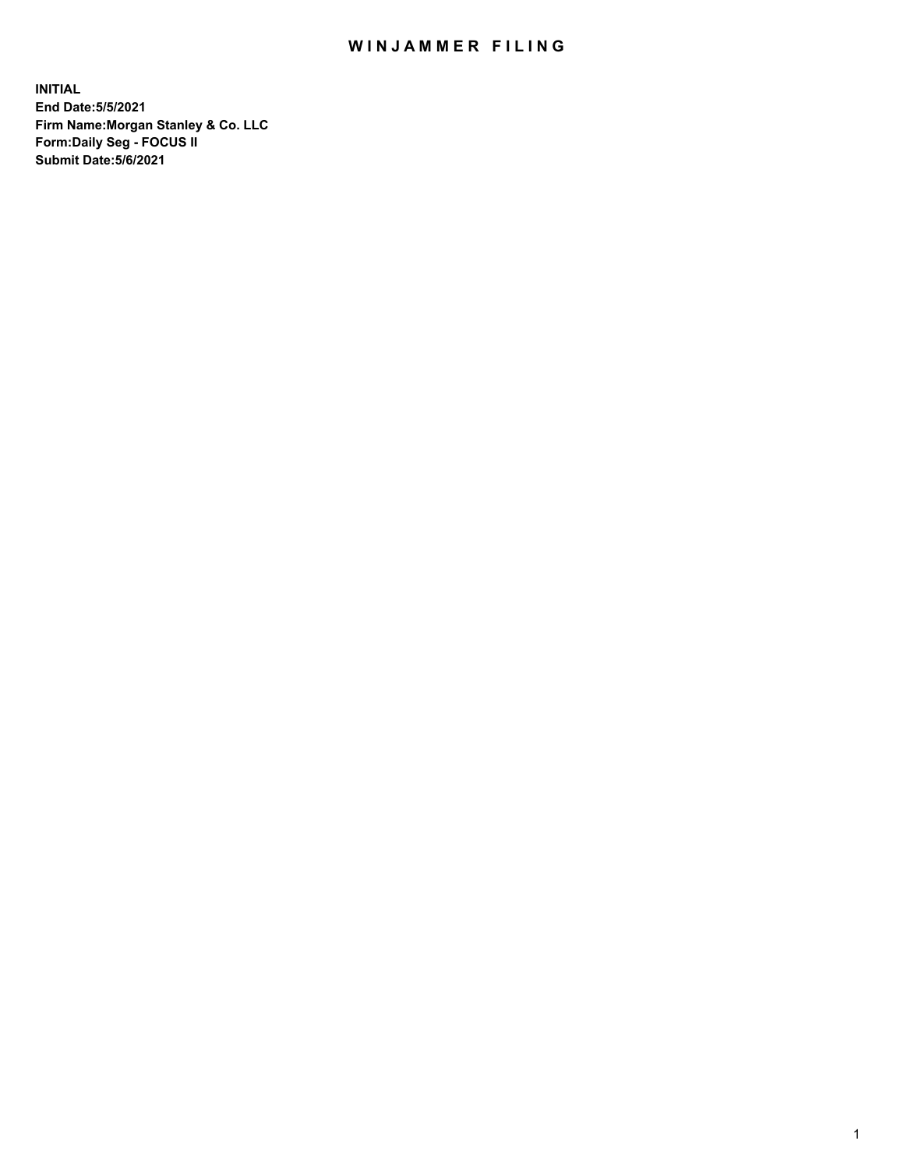## WIN JAMMER FILING

**INITIAL End Date:5/5/2021 Firm Name:Morgan Stanley & Co. LLC Form:Daily Seg - FOCUS II Submit Date:5/6/2021**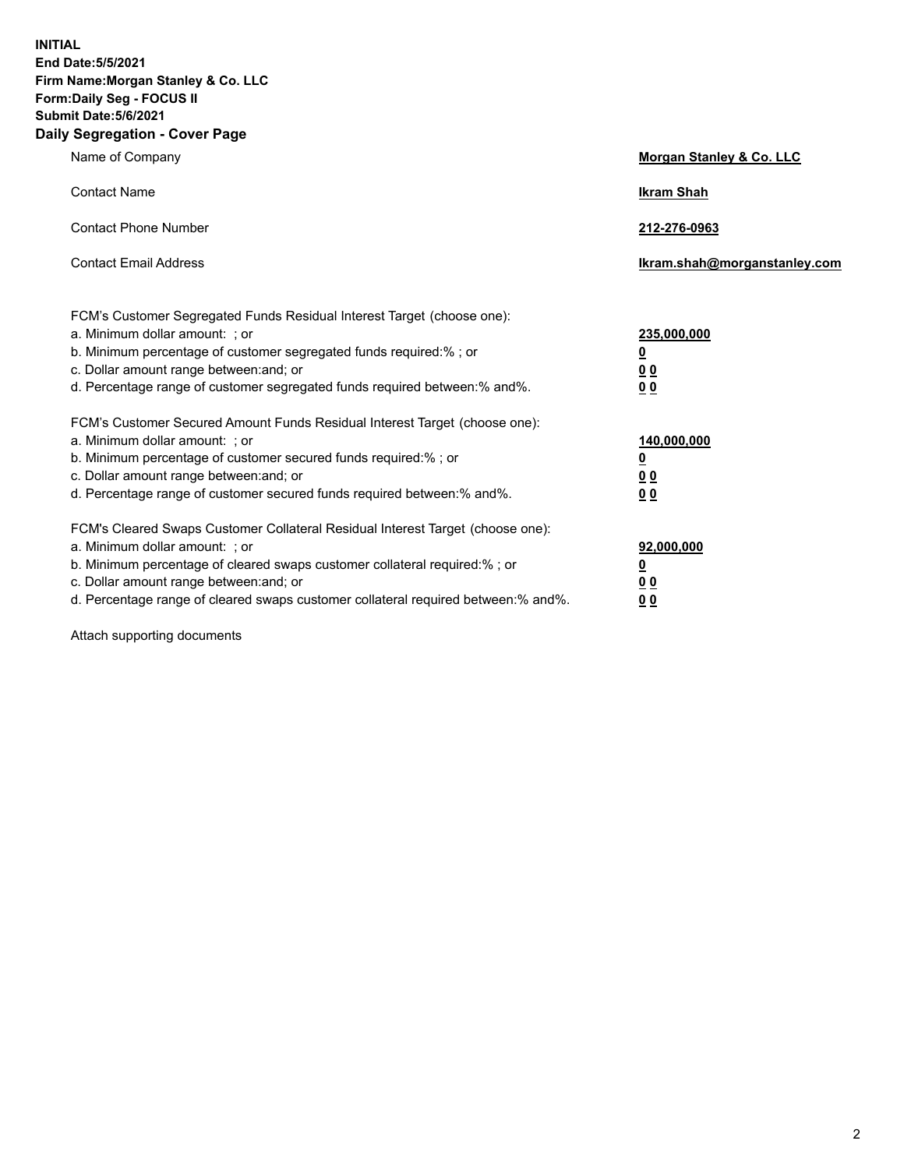**INITIAL End Date:5/5/2021 Firm Name:Morgan Stanley & Co. LLC Form:Daily Seg - FOCUS II Submit Date:5/6/2021 Daily Segregation - Cover Page**

| Name of Company                                                                                                                                                                                                                                                                                                                | Morgan Stanley & Co. LLC                                   |
|--------------------------------------------------------------------------------------------------------------------------------------------------------------------------------------------------------------------------------------------------------------------------------------------------------------------------------|------------------------------------------------------------|
| <b>Contact Name</b>                                                                                                                                                                                                                                                                                                            | <b>Ikram Shah</b>                                          |
| <b>Contact Phone Number</b>                                                                                                                                                                                                                                                                                                    | 212-276-0963                                               |
| <b>Contact Email Address</b>                                                                                                                                                                                                                                                                                                   | lkram.shah@morganstanley.com                               |
| FCM's Customer Segregated Funds Residual Interest Target (choose one):<br>a. Minimum dollar amount: ; or<br>b. Minimum percentage of customer segregated funds required:% ; or<br>c. Dollar amount range between: and; or<br>d. Percentage range of customer segregated funds required between:% and%.                         | 235,000,000<br><u>0</u><br><u>00</u><br>0 <sup>0</sup>     |
| FCM's Customer Secured Amount Funds Residual Interest Target (choose one):<br>a. Minimum dollar amount: ; or<br>b. Minimum percentage of customer secured funds required:%; or<br>c. Dollar amount range between: and; or<br>d. Percentage range of customer secured funds required between:% and%.                            | 140,000,000<br><u>0</u><br><u>0 0</u><br>0 Q               |
| FCM's Cleared Swaps Customer Collateral Residual Interest Target (choose one):<br>a. Minimum dollar amount: ; or<br>b. Minimum percentage of cleared swaps customer collateral required:% ; or<br>c. Dollar amount range between: and; or<br>d. Percentage range of cleared swaps customer collateral required between:% and%. | 92,000,000<br><u>0</u><br>0 <sup>0</sup><br>0 <sub>0</sub> |

Attach supporting documents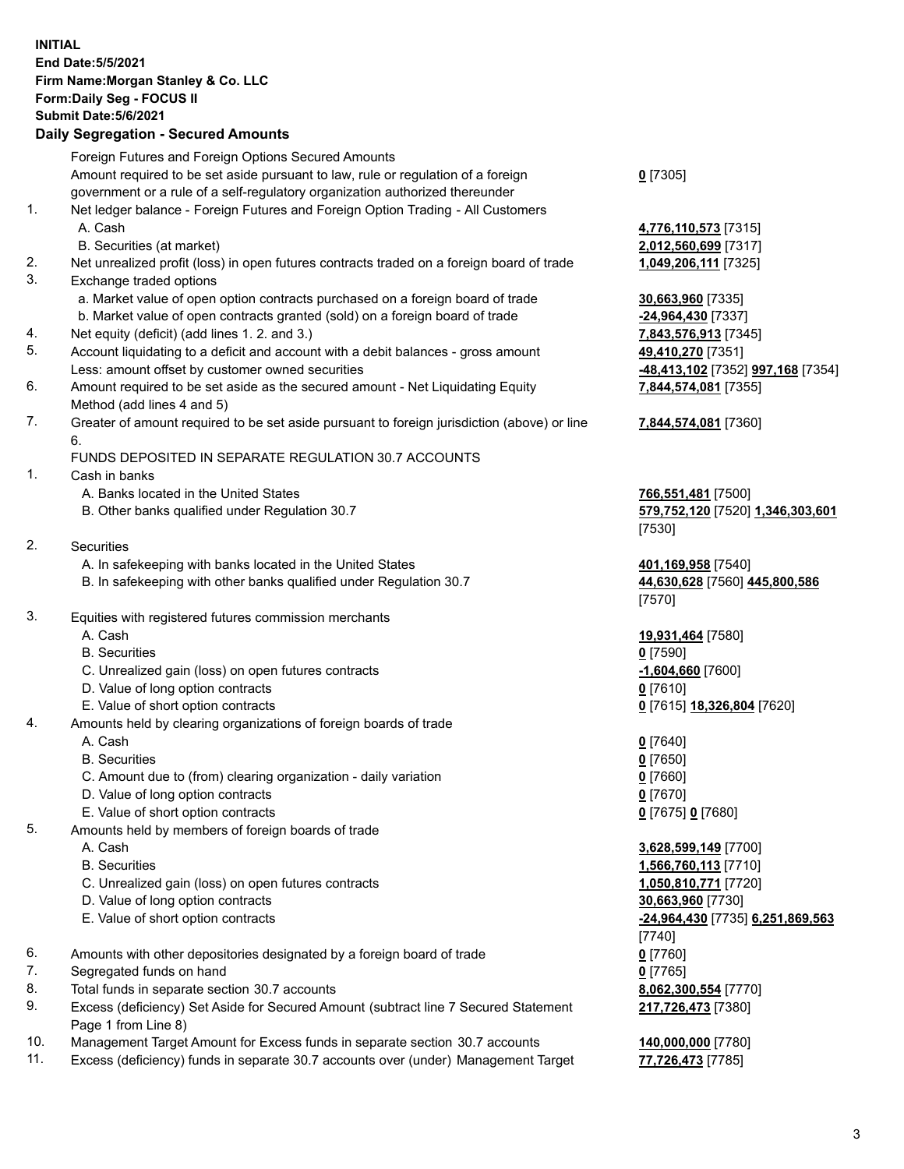## **INITIAL End Date:5/5/2021 Firm Name:Morgan Stanley & Co. LLC Form:Daily Seg - FOCUS II Submit Date:5/6/2021 Daily Segregation - Secured Amounts**

Foreign Futures and Foreign Options Secured Amounts Amount required to be set aside pursuant to law, rule or regulation of a foreign government or a rule of a self-regulatory organization authorized thereunder 1. Net ledger balance - Foreign Futures and Foreign Option Trading - All Customers A. Cash **4,776,110,573** [7315] B. Securities (at market) **2,012,560,699** [7317] 2. Net unrealized profit (loss) in open futures contracts traded on a foreign board of trade **1,049,206,111** [7325] 3. Exchange traded options a. Market value of open option contracts purchased on a foreign board of trade **30,663,960** [7335] b. Market value of open contracts granted (sold) on a foreign board of trade **-24,964,430** [7337] 4. Net equity (deficit) (add lines 1. 2. and 3.) **7,843,576,913** [7345] 5. Account liquidating to a deficit and account with a debit balances - gross amount **49,410,270** [7351] Less: amount offset by customer owned securities **-48,413,102** [7352] **997,168** [7354] 6. Amount required to be set aside as the secured amount - Net Liquidating Equity Method (add lines 4 and 5) 7. Greater of amount required to be set aside pursuant to foreign jurisdiction (above) or line 6. FUNDS DEPOSITED IN SEPARATE REGULATION 30.7 ACCOUNTS 1. Cash in banks A. Banks located in the United States **766,551,481** [7500] B. Other banks qualified under Regulation 30.7 **579,752,120** [7520] **1,346,303,601** 2. Securities A. In safekeeping with banks located in the United States **401,169,958** [7540] B. In safekeeping with other banks qualified under Regulation 30.7 **44,630,628** [7560] **445,800,586** 3. Equities with registered futures commission merchants A. Cash **19,931,464** [7580] B. Securities **0** [7590] C. Unrealized gain (loss) on open futures contracts **-1,604,660** [7600] D. Value of long option contracts **0** [7610] E. Value of short option contracts **0** [7615] **18,326,804** [7620] 4. Amounts held by clearing organizations of foreign boards of trade A. Cash **0** [7640] B. Securities **0** [7650] C. Amount due to (from) clearing organization - daily variation **0** [7660] D. Value of long option contracts **0** [7670] E. Value of short option contracts **0** [7675] **0** [7680] 5. Amounts held by members of foreign boards of trade A. Cash **3,628,599,149** [7700]

- 
- C. Unrealized gain (loss) on open futures contracts **1,050,810,771** [7720]
- D. Value of long option contracts **30,663,960** [7730]
- 
- 6. Amounts with other depositories designated by a foreign board of trade **0** [7760]
- 7. Segregated funds on hand **0** [7765]
- 8. Total funds in separate section 30.7 accounts **8,062,300,554** [7770]
- 9. Excess (deficiency) Set Aside for Secured Amount (subtract line 7 Secured Statement Page 1 from Line 8)
- 10. Management Target Amount for Excess funds in separate section 30.7 accounts **140,000,000** [7780]
- 11. Excess (deficiency) funds in separate 30.7 accounts over (under) Management Target **77,726,473** [7785]

**0** [7305]

**7,844,574,081** [7355]

## **7,844,574,081** [7360]

[7530]

[7570]

 B. Securities **1,566,760,113** [7710] E. Value of short option contracts **-24,964,430** [7735] **6,251,869,563** [7740] **217,726,473** [7380]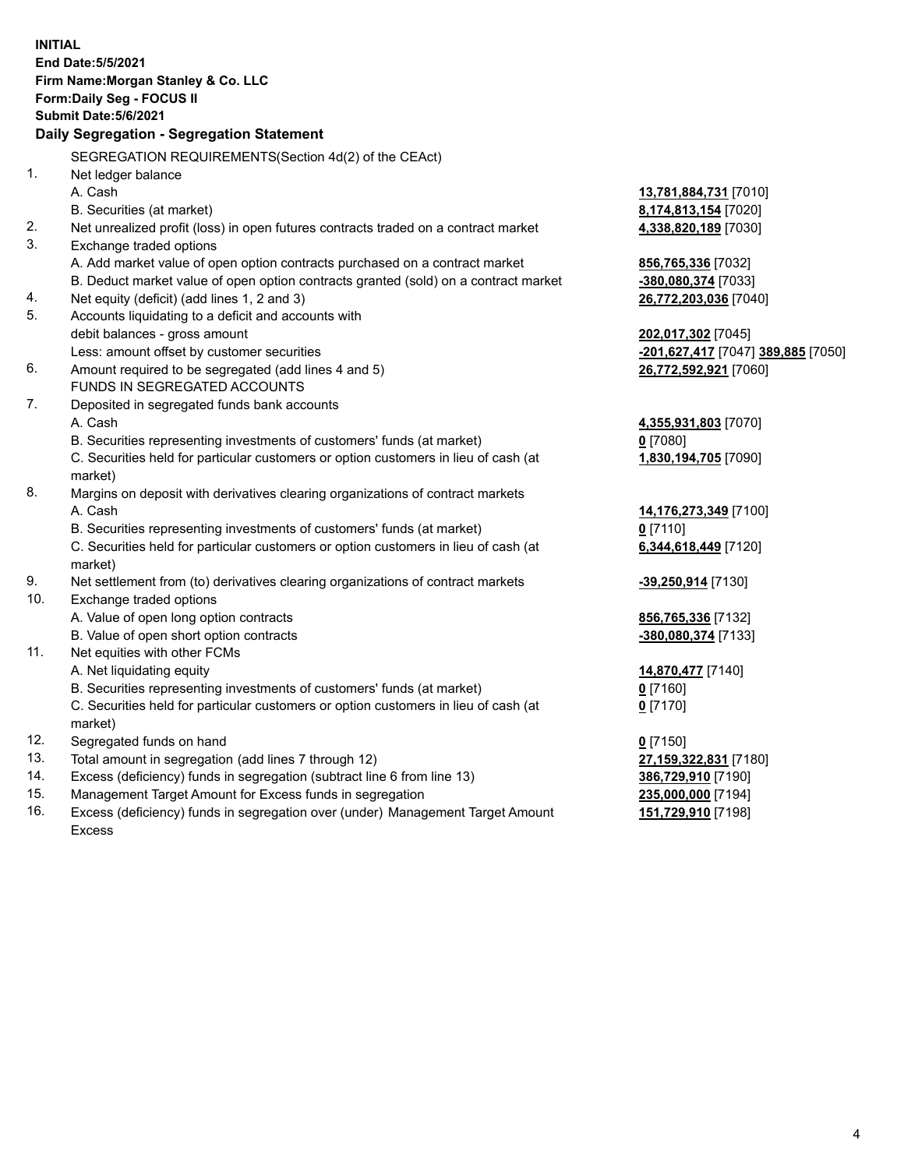|     | <b>INITIAL</b>                                                                      |                                    |
|-----|-------------------------------------------------------------------------------------|------------------------------------|
|     | End Date: 5/5/2021                                                                  |                                    |
|     | Firm Name: Morgan Stanley & Co. LLC                                                 |                                    |
|     | Form: Daily Seg - FOCUS II                                                          |                                    |
|     | Submit Date: 5/6/2021                                                               |                                    |
|     | Daily Segregation - Segregation Statement                                           |                                    |
|     | SEGREGATION REQUIREMENTS(Section 4d(2) of the CEAct)                                |                                    |
| 1.  | Net ledger balance                                                                  |                                    |
|     | A. Cash                                                                             | 13,781,884,731 [7010]              |
|     | B. Securities (at market)                                                           | 8,174,813,154 [7020]               |
| 2.  | Net unrealized profit (loss) in open futures contracts traded on a contract market  | 4,338,820,189 [7030]               |
| 3.  | Exchange traded options                                                             |                                    |
|     | A. Add market value of open option contracts purchased on a contract market         | 856,765,336 [7032]                 |
|     | B. Deduct market value of open option contracts granted (sold) on a contract market | -380,080,374 [7033]                |
| 4.  | Net equity (deficit) (add lines 1, 2 and 3)                                         | 26,772,203,036 [7040]              |
| 5.  | Accounts liquidating to a deficit and accounts with                                 |                                    |
|     | debit balances - gross amount                                                       | 202,017,302 [7045]                 |
|     | Less: amount offset by customer securities                                          | -201,627,417 [7047] 389,885 [7050] |
| 6.  | Amount required to be segregated (add lines 4 and 5)                                | 26,772,592,921 [7060]              |
|     | FUNDS IN SEGREGATED ACCOUNTS                                                        |                                    |
| 7.  | Deposited in segregated funds bank accounts                                         |                                    |
|     | A. Cash                                                                             | 4,355,931,803 [7070]               |
|     | B. Securities representing investments of customers' funds (at market)              | $0$ [7080]                         |
|     | C. Securities held for particular customers or option customers in lieu of cash (at | 1,830,194,705 [7090]               |
|     | market)                                                                             |                                    |
| 8.  | Margins on deposit with derivatives clearing organizations of contract markets      |                                    |
|     | A. Cash                                                                             | 14,176,273,349 [7100]              |
|     | B. Securities representing investments of customers' funds (at market)              | $0$ [7110]                         |
|     | C. Securities held for particular customers or option customers in lieu of cash (at | 6,344,618,449 [7120]               |
|     | market)                                                                             |                                    |
| 9.  | Net settlement from (to) derivatives clearing organizations of contract markets     | -39,250,914 [7130]                 |
| 10. | Exchange traded options                                                             |                                    |
|     | A. Value of open long option contracts                                              | 856,765,336 [7132]                 |
|     | B. Value of open short option contracts                                             | -380,080,374 [7133]                |
| 11. | Net equities with other FCMs                                                        |                                    |
|     | A. Net liquidating equity                                                           | 14,870,477 [7140]                  |
|     | B. Securities representing investments of customers' funds (at market)              | $0$ [7160]                         |
|     | C. Securities held for particular customers or option customers in lieu of cash (at | $0$ [7170]                         |
|     | market)                                                                             |                                    |
| 12. | Segregated funds on hand                                                            | $0$ [7150]                         |
| 13. | Total amount in segregation (add lines 7 through 12)                                | 27,159,322,831 [7180]              |
| 14. | Excess (deficiency) funds in segregation (subtract line 6 from line 13)             | 386,729,910 [7190]                 |
| 15. | Management Target Amount for Excess funds in segregation                            | 235,000,000 [7194]                 |
| 16. | Excess (deficiency) funds in segregation over (under) Management Target Amount      | 151,729,910 [7198]                 |

16. Excess (deficiency) funds in segregation over (under) Management Target Amount Excess